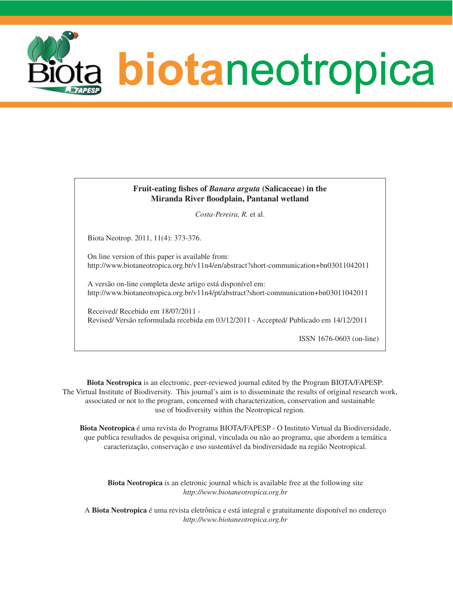

# **Fruit-eating fishes of** *Banara arguta* **(Salicaceae) in the Miranda River floodplain, Pantanal wetland**

*Costa-Pereira, R.* et al.

Biota Neotrop. 2011, 11(4): 373-376.

On line version of this paper is available from: <http://www.biotaneotropica.org.br/v11n4/en/abstract?short-communication+bn03011042011>

A versão on-line completa deste artigo está disponível em: <http://www.biotaneotropica.org.br/v11n4/pt/abstract?short-communication+bn03011042011>

Received/ Recebido em 18/07/2011 - Revised/ Versão reformulada recebida em 03/12/2011 - Accepted/ Publicado em 14/12/2011

ISSN 1676-0603 (on-line)

**Biota Neotropica** is an electronic, peer-reviewed journal edited by the Program BIOTA/FAPESP: The Virtual Institute of Biodiversity. This journal's aim is to disseminate the results of original research work, associated or not to the program, concerned with characterization, conservation and sustainable use of biodiversity within the Neotropical region.

**Biota Neotropica** é uma revista do Programa BIOTA/FAPESP - O Instituto Virtual da Biodiversidade, que publica resultados de pesquisa original, vinculada ou não ao programa, que abordem a temática caracterização, conservação e uso sustentável da biodiversidade na região Neotropical.

**Biota Neotropica** is an eletronic journal which is available free at the following site *http://www.biotaneotropica.org.br*

A **Biota Neotropica** é uma revista eletrônica e está integral e gratuitamente disponível no endereço *http://www.biotaneotropica.org.br*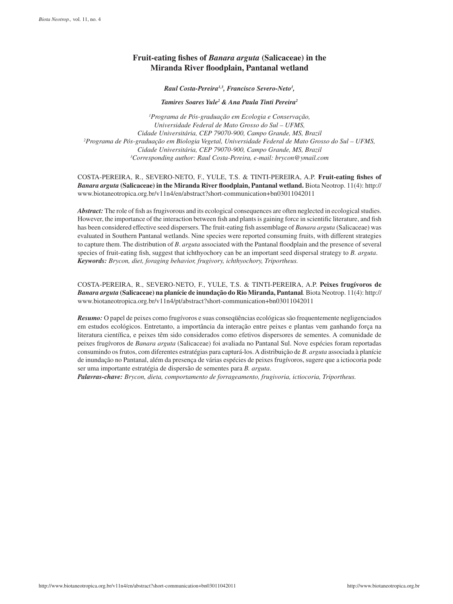# **Fruit-eating fishes of** *Banara arguta* **(Salicaceae) in the Miranda River floodplain, Pantanal wetland**

*Raul Costa-Pereira1,3, Francisco Severo-Neto1 ,* 

*Tamires Soares Yule2 & Ana Paula Tinti Pereira2*

*1 Programa de Pós-graduação em Ecologia e Conservação, Universidade Federal de Mato Grosso do Sul – UFMS, Cidade Universitária, CEP 79070-900, Campo Grande, MS, Brazil 2 Programa de Pós-graduação em Biologia Vegetal, Universidade Federal de Mato Grosso do Sul – UFMS, Cidade Universitária, CEP 79070-900, Campo Grande, MS, Brazil 3 Corresponding author: Raul Costa-Pereira, e-mail: [brycon@ymail.com](mailto:brycon@ymail.com)*

COSTA-PEREIRA, R., SEVERO-NETO, F., YULE, T.S. & TINTI-PEREIRA, A.P. **Fruit-eating fishes of**  *Banara arguta* **(Salicaceae) in the Miranda River floodplain, Pantanal wetland.** Biota Neotrop. 11(4): [http://](http://www.biotaneotropica.org.br/v11n4/en/abstract?short-communication+bn03011042011) [www.biotaneotropica.org.br/v11n4/en/abstract?short-communication+bn03011042011](http://www.biotaneotropica.org.br/v11n4/en/abstract?short-communication+bn03011042011)

*Abstract:* The role of fish as frugivorous and its ecological consequences are often neglected in ecological studies. However, the importance of the interaction between fish and plants is gaining force in scientific literature, and fish has been considered effective seed dispersers. The fruit-eating fish assemblage of *Banara arguta* (Salicaceae) was evaluated in Southern Pantanal wetlands. Nine species were reported consuming fruits, with different strategies to capture them. The distribution of *B*. *arguta* associated with the Pantanal floodplain and the presence of several species of fruit-eating fish, suggest that ichthyochory can be an important seed dispersal strategy to *B. arguta*. *Keywords: Brycon, diet, foraging behavior, frugivory, ichthyochory, Triportheus.*

COSTA-PEREIRA, R., SEVERO-NETO, F., YULE, T.S. & TINTI-PEREIRA, A.P. **Peixes frugívoros de**  *Banara arguta* **(Salicaceae) na planície de inundação do Rio Miranda, Pantanal***.* Biota Neotrop. 11(4): [http://](http://www.biotaneotropica.org.br/v11n4/pt/abstract?short-communication+bn03011042011) [www.biotaneotropica.org.br/v11n4/pt/abstract?short-communication+bn03011042011](http://www.biotaneotropica.org.br/v11n4/pt/abstract?short-communication+bn03011042011)

*Resumo:* O papel de peixes como frugívoros e suas conseqüências ecológicas são frequentemente negligenciados em estudos ecológicos. Entretanto, a importância da interação entre peixes e plantas vem ganhando força na literatura científica, e peixes têm sido considerados como efetivos dispersores de sementes. A comunidade de peixes frugívoros de *Banara arguta* (Salicaceae) foi avaliada no Pantanal Sul. Nove espécies foram reportadas consumindo os frutos, com diferentes estratégias para capturá-los. A distribuição de *B. arguta* associada à planície de inundação no Pantanal, além da presença de várias espécies de peixes frugívoros, sugere que a ictiocoria pode ser uma importante estratégia de dispersão de sementes para *B. arguta*.

*Palavras-chave: Brycon, dieta, comportamento de forrageamento, frugivoria, ictiocoria, Triportheus.*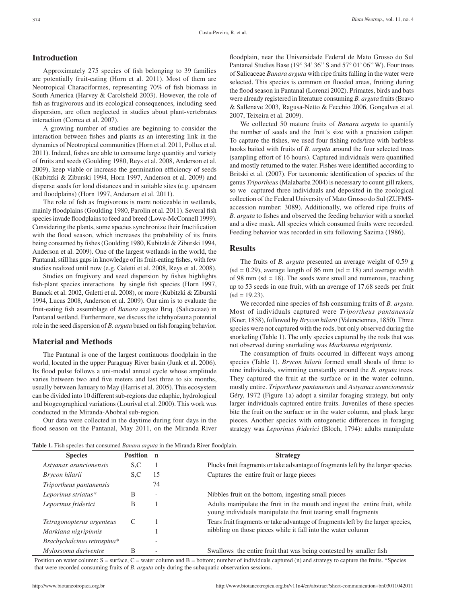### **Introduction**

Approximately 275 species of fish belonging to 39 families are potentially fruit-eating (Horn et al. 2011). Most of them are Neotropical Characiformes, representing 70% of fish biomass in South America (Harvey & Carolsfield 2003). However, the role of fish as frugivorous and its ecological consequences, including seed dispersion, are often neglected in studies about plant-vertebrates interaction (Correa et al. 2007).

A growing number of studies are beginning to consider the interaction between fishes and plants as an interesting link in the dynamics of Neotropical communities (Horn et al. 2011, Pollux et al. 2011). Indeed, fishes are able to consume large quantity and variety of fruits and seeds (Goulding 1980, Reys et al. 2008, Anderson et al. 2009), keep viable or increase the germination efficiency of seeds (Kubitzki & Ziburski 1994, Horn 1997, Anderson et al. 2009) and disperse seeds for lond distances and in suitable sites (e.g. upstream and floodplains) (Horn 1997, Anderson et al. 2011).

The role of fish as frugivorous is more noticeable in wetlands, mainly floodplains (Goulding 1980, Parolin et al. 2011). Several fish species invade floodplains to feed and breed (Lowe-McConnell 1999). Considering the plants, some species synchronize their fructification with the flood season, which increases the probability of its fruits being consumed by fishes (Goulding 1980, Kubitzki & Ziburski 1994, Anderson et al. 2009). One of the largest wetlands in the world, the Pantanal, still has gaps in knowledge of its fruit-eating fishes, with few studies realized until now (e.g. Galetti et al. 2008, Reys et al. 2008).

Studies on frugivory and seed dispersion by fishes highlights fish-plant species interactions by single fish species (Horn 1997, Banack et al. 2002, Galetti et al. 2008), or more (Kubitzki & Ziburski 1994, Lucas 2008, Anderson et al. 2009). Our aim is to evaluate the fruit-eating fish assemblage of *Banara arguta* Briq. (Salicaceae) in Pantanal wetland. Furthermore, we discuss the ichthyofauna potential role in the seed dispersion of *B. arguta* based on fish foraging behavior.

## **Material and Methods**

The Pantanal is one of the largest continuous floodplain in the world, located in the upper Paraguay River basin (Junk et al. 2006). Its flood pulse follows a uni-modal annual cycle whose amplitude varies between two and five meters and last three to six months, usually between January to May (Harris et al. 2005). This ecosystem can be divided into 10 different sub-regions due edaphic, hydrological and biogeographical variations (Lourival et al. 2000). This work was conducted in the Miranda-Abobral sub-region.

Our data were collected in the daytime during four days in the flood season on the Pantanal, May 2011, on the Miranda River floodplain, near the Universidade Federal de Mato Grosso do Sul Pantanal Studies Base (19° 34' 36''S and 57° 01' 06''W). Four trees of Salicaceae *Banara arguta* with ripe fruits falling in the water were selected. This species is common on flooded areas, fruiting during the flood season in Pantanal (Lorenzi 2002). Primates, birds and bats were already registered in literature consuming *B. arguta* fruits (Bravo & Sallenave 2003, Ragusa-Netto & Fecchio 2006, Gonçalves et al. 2007, Teixeira et al. 2009).

We collected 50 mature fruits of *Banara arguta* to quantify the number of seeds and the fruit´s size with a precision caliper. To capture the fishes, we used four fishing rods/tree with barbless hooks baited with fruits of *B. arguta* around the four selected trees (sampling effort of 16 hours). Captured individuals were quantified and mostly returned to the water. Fishes were identified according to Britski et al. (2007). For taxonomic identification of species of the genus *Triportheus* (Malabarba 2004) is necessary to count gill rakers, so we captured three individuals and deposited in the zoological collection of the Federal University of Mato Grosso do Sul (ZUFMSaccession number: 3089). Additionally, we offered ripe fruits of *B. arguta* to fishes and observed the feeding behavior with a snorkel and a dive mask. All species which consumed fruits were recorded. Feeding behavior was recorded in situ following Sazima (1986).

#### **Results**

The fruits of *B. arguta* presented an average weight of 0.59 g  $(sd = 0.29)$ , average length of 86 mm  $(sd = 18)$  and average width of 98 mm ( $sd = 18$ ). The seeds were small and numerous, reaching up to 53 seeds in one fruit, with an average of 17.68 seeds per fruit  $(sd = 19.23)$ .

We recorded nine species of fish consuming fruits of *B. arguta*. Most of individuals captured were *Triportheus pantanensis*  (Kner, 1858), followed by *Brycon hilarii* (Valenciennes, 1850). Three species were not captured with the rods, but only observed during the snorkeling (Table 1). The only species captured by the rods that was not observed during snorkeling was *Markianna nigripinnis*.

The consumption of fruits occurred in different ways among species (Table 1). *Brycon hilarii* formed small shoals of three to nine individuals, swimming constantly around the *B. arguta* trees. They captured the fruit at the surface or in the water column, mostly entire. *Triportheus pantanensis* and *Astyanax asuncionensis*  Géry, 1972 (Figure 1a) adopt a similar foraging strategy, but only larger individuals captured entire fruits. Juveniles of these species bite the fruit on the surface or in the water column, and pluck large pieces. Another species with ontogenetic differences in foraging strategy was *Leporinus friderici* (Bloch, 1794): adults manipulate

**Table 1.** Fish species that consumed *Banara arguta* in the Miranda River floodplain.

| <b>Species</b>              | Position n |    | <b>Strategy</b>                                                                                                                               |
|-----------------------------|------------|----|-----------------------------------------------------------------------------------------------------------------------------------------------|
| Astyanax asuncionensis      | S.C        |    | Plucks fruit fragments or take advantage of fragments left by the larger species                                                              |
| Brycon hilarii              | S.C        | 15 | Captures the entire fruit or large pieces                                                                                                     |
| Triportheus pantanensis     |            | 74 |                                                                                                                                               |
| Leporinus striatus*         | В          | ۰  | Nibbles fruit on the bottom, ingesting small pieces                                                                                           |
| Leporinus friderici         | В          |    | Adults manipulate the fruit in the mouth and ingest the entire fruit, while<br>young individuals manipulate the fruit tearing small fragments |
| Tetragonopterus argenteus   |            |    | Tears fruit fragments or take advantage of fragments left by the larger species,                                                              |
| Markiana nigripinnis        |            |    | nibbling on those pieces while it fall into the water column                                                                                  |
| Brachychalcinus retrospina* |            |    |                                                                                                                                               |
| Mylossoma duriventre        | В          |    | Swallows the entire fruit that was being contested by smaller fish                                                                            |

Position on water column:  $S =$  surface,  $C =$  water column and  $B =$  bottom; number of individuals captured (n) and strategy to capture the fruits. \*Species that were recorded consuming fruits of *B*. *arguta* only during the subaquatic observation sessions.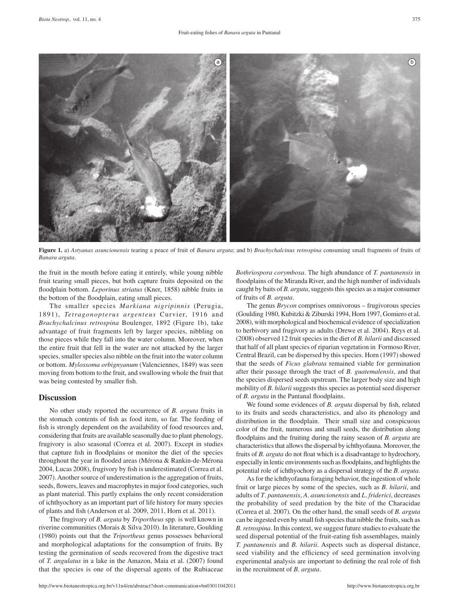

**Figure 1.** a) *Astyanax asuncionensis* tearing a peace of fruit of *Banara arguta*; and b) *Brachychalcinus retrospina* consuming small fragments of fruits of *Banara arguta*.

the fruit in the mouth before eating it entirely, while young nibble fruit tearing small pieces, but both capture fruits deposited on the floodplain bottom. *Leporinus striatus* (Kner, 1858) nibble fruits in the bottom of the floodplain, eating small pieces.

The smaller species *Markiana nigripinnis* (Perugia, 1891), *Tetragonopterus argenteus* Curvier, 1916 and *Brachychalcinus retrospina* Boulenger, 1892 (Figure 1b), take advantage of fruit fragments left by larger species, nibbling on those pieces while they fall into the water column. Moreover, when the entire fruit that fell in the water are not attacked by the larger species, smaller species also nibble on the fruit into the water column or bottom. *Mylossoma orbignyanum* (Valenciennes, 1849) was seen moving from bottom to the fruit, and swallowing whole the fruit that was being contested by smaller fish.

#### **Discussion**

No other study reported the occurrence of *B. arguta* fruits in the stomach contents of fish as food item, so far. The feeding of fish is strongly dependent on the availability of food resources and, considering that fruits are available seasonally due to plant phenology, frugivory is also seasonal (Correa et al. 2007). Except in studies that capture fish in floodplains or monitor the diet of the species throughout the year in flooded areas (Mérona & Rankin-de-Mérona 2004, Lucas 2008), frugivory by fish is underestimated (Correa et al. 2007). Another source of underestimation is the aggregation of fruits, seeds, flowers, leaves and macrophytes in major food categories, such as plant material. This partly explains the only recent consideration of ichthyochory as an important part of life history for many species of plants and fish (Anderson et al. 2009, 2011, Horn et al. 2011).

The frugivory of *B. arguta* by *Triportheus* spp*.* is well known in riverine communities (Morais & Silva 2010). In literature, Goulding (1980) points out that the *Triportheus* genus possesses behavioral and morphological adaptations for the consumption of fruits. By testing the germination of seeds recovered from the digestive tract of *T. angulatus* in a lake in the Amazon, Maia et al. (2007) found that the species is one of the dispersal agents of the Rubiaceae *Bothriospora corymbosa*. The high abundance of *T. pantanensis* in floodplains of the Miranda River, and the high number of individuals caught by baits of *B. arguta*, suggests this species as a major consumer of fruits of *B. arguta*.

The genus *Brycon* comprises omnivorous – frugivorous species (Goulding 1980, Kubitzki & Ziburski 1994, Horn 1997, Gomiero et al. 2008), with morphological and biochemical evidence of specialization to herbivory and frugivory as adults (Drewe et al. 2004). Reys et al. (2008) observed 12 fruit species in the diet of *B. hilarii* and discussed that half of all plant species of riparian vegetation in Formoso River, Central Brazil, can be dispersed by this species. Horn (1997) showed that the seeds of *Ficus glabrata* remained viable for germination after their passage through the tract of *B. guatemalensis*, and that the species dispersed seeds upstream. The larger body size and high mobility of *B. hilarii* suggests this species as potential seed disperser of *B. arguta* in the Pantanal floodplains.

We found some evidences of *B. arguta* dispersal by fish, related to its fruits and seeds characteristics, and also its phenology and distribution in the floodplain. Their small size and conspicuous color of the fruit, numerous and small seeds, the distribution along floodplains and the fruiting during the rainy season of *B. arguta* are characteristics that allows the dispersal by ichthyofauna. Moreover, the fruits of *B. arguta* do not float which is a disadvantage to hydrochory, especially in lentic environments such as floodplains, and highlights the potential role of ichthyochory as a dispersal strategy of the *B. arguta*.

As for the ichthyofauna foraging behavior, the ingestion of whole fruit or large pieces by some of the species, such as *B*. *hilarii*, and adults of *T*. *pantanensis*, *A*. *asuncionensis* and *L*. *friderici*, decreases the probability of seed predation by the bite of the Characidae (Correa et al. 2007). On the other hand, the small seeds of *B. arguta* can be ingested even by small fish species that nibble the fruits, such as *B.retrospina*. In this context, we suggest future studies to evaluate the seed dispersal potential of the fruit-eating fish assemblages, mainly *T. pantanensis* and *B. hilarii*. Aspects such as dispersal distance, seed viability and the efficiency of seed germination involving experimental analysis are important to defining the real role of fish in the recruitment of *B. arguta*.